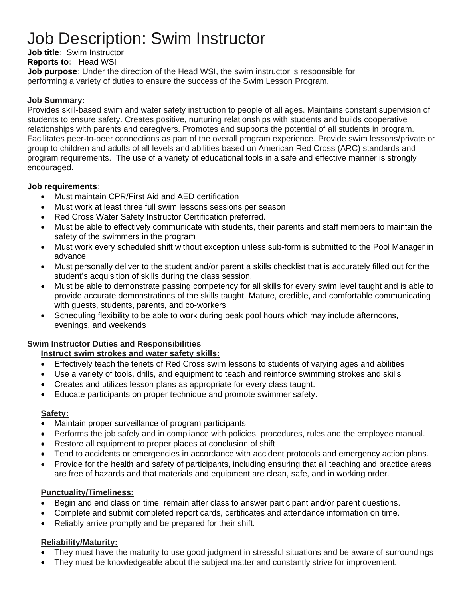# Job Description: Swim Instructor

**Job title:** Swim Instructor

## **Reports to:** Head WSI

**Job purpose:** Under the direction of the Head WSI, the swim instructor is responsible for performing a variety of duties to ensure the success of the Swim Lesson Program.

### **Job Summary:**

Provides skill-based swim and water safety instruction to people of all ages. Maintains constant supervision of students to ensure safety. Creates positive, nurturing relationships with students and builds cooperative relationships with parents and caregivers. Promotes and supports the potential of all students in program. Facilitates peer-to-peer connections as part of the overall program experience. Provide swim lessons/private or group to children and adults of all levels and abilities based on American Red Cross (ARC) standards and program requirements. The use of a variety of educational tools in a safe and effective manner is strongly encouraged.

#### **Job requirements:**

- Must maintain CPR/First Aid and AED certification
- Must work at least three full swim lessons sessions per season
- Red Cross Water Safety Instructor Certification preferred.
- Must be able to effectively communicate with students, their parents and staff members to maintain the safety of the swimmers in the program
- Must work every scheduled shift without exception unless sub-form is submitted to the Pool Manager in advance
- Must personally deliver to the student and/or parent a skills checklist that is accurately filled out for the student's acquisition of skills during the class session.
- Must be able to demonstrate passing competency for all skills for every swim level taught and is able to provide accurate demonstrations of the skills taught. Mature, credible, and comfortable communicating with guests, students, parents, and co-workers
- Scheduling flexibility to be able to work during peak pool hours which may include afternoons, evenings, and weekends

## **Swim Instructor Duties and Responsibilities**

## **Instruct swim strokes and water safety skills:**

- Effectively teach the tenets of Red Cross swim lessons to students of varying ages and abilities
- Use a variety of tools, drills, and equipment to teach and reinforce swimming strokes and skills
- Creates and utilizes lesson plans as appropriate for every class taught.
- Educate participants on proper technique and promote swimmer safety.

## **Safety:**

- Maintain proper surveillance of program participants
- Performs the job safely and in compliance with policies, procedures, rules and the employee manual.
- Restore all equipment to proper places at conclusion of shift
- Tend to accidents or emergencies in accordance with accident protocols and emergency action plans.
- Provide for the health and safety of participants, including ensuring that all teaching and practice areas are free of hazards and that materials and equipment are clean, safe, and in working order.

## **Punctuality/Timeliness:**

- Begin and end class on time, remain after class to answer participant and/or parent questions.
- Complete and submit completed report cards, certificates and attendance information on time.
- Reliably arrive promptly and be prepared for their shift.

# **Reliability/Maturity:**

- They must have the maturity to use good judgment in stressful situations and be aware of surroundings
- They must be knowledgeable about the subject matter and constantly strive for improvement.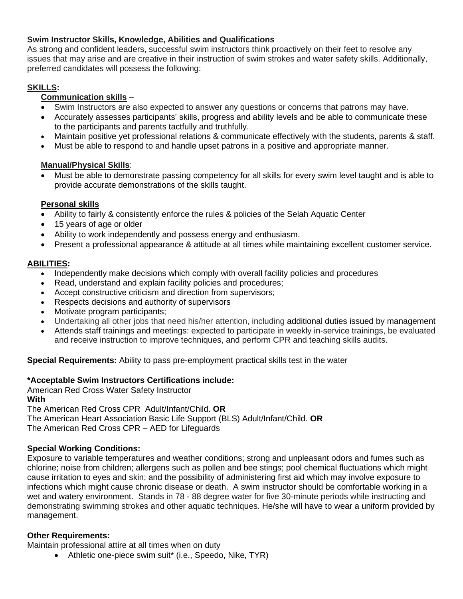# **Swim Instructor Skills, Knowledge, Abilities and Qualifications**

As strong and confident leaders, successful swim instructors think proactively on their feet to resolve any issues that may arise and are creative in their instruction of swim strokes and water safety skills. Additionally, preferred candidates will possess the following:

# **SKILLS:**

# **Communication skills** –

- Swim Instructors are also expected to answer any questions or concerns that patrons may have.
- Accurately assesses participants' skills, progress and ability levels and be able to communicate these to the participants and parents tactfully and truthfully.
- Maintain positive yet professional relations & communicate effectively with the students, parents & staff.
- Must be able to respond to and handle upset patrons in a positive and appropriate manner.

## **Manual/Physical Skills**:

• Must be able to demonstrate passing competency for all skills for every swim level taught and is able to provide accurate demonstrations of the skills taught.

## **Personal skills**

- Ability to fairly & consistently enforce the rules & policies of the Selah Aquatic Center
- 15 years of age or older
- Ability to work independently and possess energy and enthusiasm.
- Present a professional appearance & attitude at all times while maintaining excellent customer service.

#### **ABILITIES:**

- Independently make decisions which comply with overall facility policies and procedures
- Read, understand and explain facility policies and procedures;
- Accept constructive criticism and direction from supervisors;
- Respects decisions and authority of supervisors
- Motivate program participants;
- Undertaking all other jobs that need his/her attention, including additional duties issued by management
- Attends staff trainings and meetings: expected to participate in weekly in-service trainings, be evaluated and receive instruction to improve techniques, and perform CPR and teaching skills audits.

**Special Requirements:** Ability to pass pre-employment practical skills test in the water

## **\*Acceptable Swim Instructors Certifications include:**

American Red Cross Water Safety Instructor **With** The American Red Cross CPR Adult/Infant/Child. **OR** The American Heart Association Basic Life Support (BLS) Adult/Infant/Child. **OR**  The American Red Cross CPR – AED for Lifeguards

## **Special Working Conditions:**

Exposure to variable temperatures and weather conditions; strong and unpleasant odors and fumes such as chlorine; noise from children; allergens such as pollen and bee stings; pool chemical fluctuations which might cause irritation to eyes and skin; and the possibility of administering first aid which may involve exposure to infections which might cause chronic disease or death. A swim instructor should be comfortable working in a wet and watery environment. Stands in 78 - 88 degree water for five 30-minute periods while instructing and demonstrating swimming strokes and other aquatic techniques. He/she will have to wear a uniform provided by management.

#### **Other Requirements:**

Maintain professional attire at all times when on duty

• Athletic one-piece swim suit\* (i.e., Speedo, Nike, TYR)